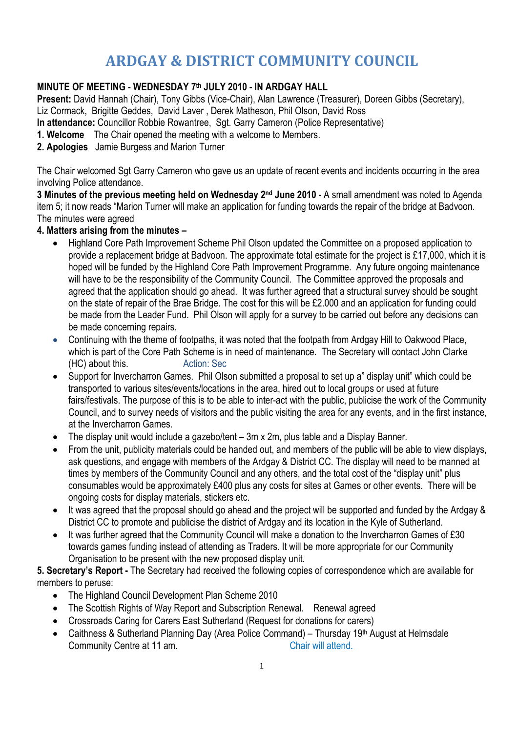# **ARDGAY & DISTRICT COMMUNITY COUNCIL**

## **MINUTE OF MEETING - WEDNESDAY 7th JULY 2010 - IN ARDGAY HALL**

**Present:** David Hannah (Chair), Tony Gibbs (Vice-Chair), Alan Lawrence (Treasurer), Doreen Gibbs (Secretary), Liz Cormack, Brigitte Geddes, David Laver , Derek Matheson, Phil Olson, David Ross **In attendance:** Councillor Robbie Rowantree, Sgt. Garry Cameron (Police Representative) **1. Welcome** The Chair opened the meeting with a welcome to Members.

**2. Apologies** Jamie Burgess and Marion Turner

The Chair welcomed Sgt Garry Cameron who gave us an update of recent events and incidents occurring in the area involving Police attendance.

**3 Minutes of the previous meeting held on Wednesday 2nd June 2010 -** A small amendment was noted to Agenda item 5; it now reads "Marion Turner will make an application for funding towards the repair of the bridge at Badvoon. The minutes were agreed

#### **4. Matters arising from the minutes –**

- Highland Core Path Improvement Scheme Phil Olson updated the Committee on a proposed application to provide a replacement bridge at Badvoon. The approximate total estimate for the project is £17,000, which it is hoped will be funded by the Highland Core Path Improvement Programme. Any future ongoing maintenance will have to be the responsibility of the Community Council. The Committee approved the proposals and agreed that the application should go ahead. It was further agreed that a structural survey should be sought on the state of repair of the Brae Bridge. The cost for this will be £2.000 and an application for funding could be made from the Leader Fund. Phil Olson will apply for a survey to be carried out before any decisions can be made concerning repairs.
- Continuing with the theme of footpaths, it was noted that the footpath from Ardgay Hill to Oakwood Place, which is part of the Core Path Scheme is in need of maintenance. The Secretary will contact John Clarke (HC) about this. Action: Sec
- Support for Invercharron Games. Phil Olson submitted a proposal to set up a" display unit" which could be transported to various sites/events/locations in the area, hired out to local groups or used at future fairs/festivals. The purpose of this is to be able to inter-act with the public, publicise the work of the Community Council, and to survey needs of visitors and the public visiting the area for any events, and in the first instance, at the Invercharron Games.
- The display unit would include a gazebo/tent 3m x 2m, plus table and a Display Banner.
- From the unit, publicity materials could be handed out, and members of the public will be able to view displays, ask questions, and engage with members of the Ardgay & District CC. The display will need to be manned at times by members of the Community Council and any others, and the total cost of the "display unit" plus consumables would be approximately £400 plus any costs for sites at Games or other events. There will be ongoing costs for display materials, stickers etc.
- It was agreed that the proposal should go ahead and the project will be supported and funded by the Ardgay & District CC to promote and publicise the district of Ardgay and its location in the Kyle of Sutherland.
- It was further agreed that the Community Council will make a donation to the Invercharron Games of £30 towards games funding instead of attending as Traders. It will be more appropriate for our Community Organisation to be present with the new proposed display unit.

#### **5. Secretary's Report -** The Secretary had received the following copies of correspondence which are available for members to peruse:

- The Highland Council Development Plan Scheme 2010
- The Scottish Rights of Way Report and Subscription Renewal. Renewal agreed
- Crossroads Caring for Carers East Sutherland (Request for donations for carers)
- Caithness & Sutherland Planning Day (Area Police Command) Thursday 19<sup>th</sup> August at Helmsdale Community Centre at 11 am. Community Centre at 11 am.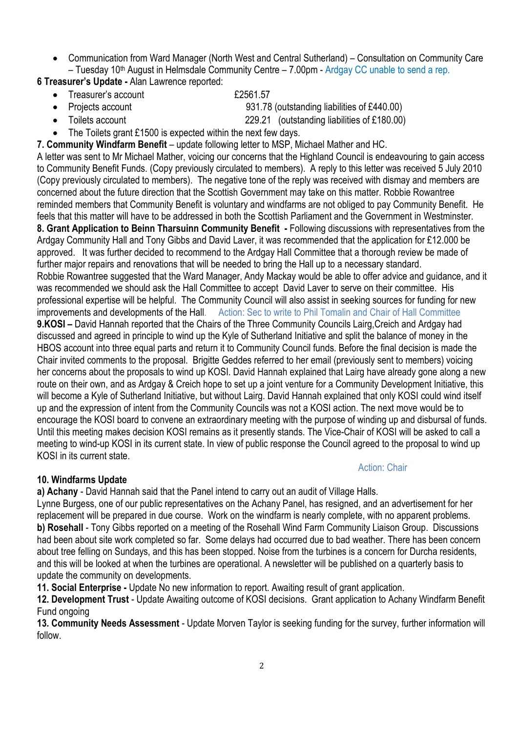• Communication from Ward Manager (North West and Central Sutherland) – Consultation on Community Care – Tuesday 10th August in Helmsdale Community Centre – 7.00pm - Ardgay CC unable to send a rep.

**6 Treasurer's Update -** Alan Lawrence reported:

Treasurer's account **E2561.57** 

• Projects account 931.78 (outstanding liabilities of £440.00)

Action: Chair

- Toilets account 229.21 (outstanding liabilities of £180.00)
- The Toilets grant £1500 is expected within the next few days.
- **7. Community Windfarm Benefit** update following letter to MSP, Michael Mather and HC.

A letter was sent to Mr Michael Mather, voicing our concerns that the Highland Council is endeavouring to gain access to Community Benefit Funds. (Copy previously circulated to members). A reply to this letter was received 5 July 2010 (Copy previously circulated to members). The negative tone of the reply was received with dismay and members are concerned about the future direction that the Scottish Government may take on this matter. Robbie Rowantree reminded members that Community Benefit is voluntary and windfarms are not obliged to pay Community Benefit. He feels that this matter will have to be addressed in both the Scottish Parliament and the Government in Westminster. 8. Grant Application to Beinn Tharsuinn Community Benefit - Following discussions with representatives from the Ardgay Community Hall and Tony Gibbs and David Laver, it was recommended that the application for £12.000 be approved. It was further decided to recommend to the Ardgay Hall Committee that a thorough review be made of further major repairs and renovations that will be needed to bring the Hall up to a necessary standard. Robbie Rowantree suggested that the Ward Manager, Andy Mackay would be able to offer advice and guidance, and it was recommended we should ask the Hall Committee to accept David Laver to serve on their committee. His professional expertise will be helpful. The Community Council will also assist in seeking sources for funding for new improvements and developments of the Hall. Action: Sec to write to Phil Tomalin and Chair of Hall Committee **9.KOSI –** David Hannah reported that the Chairs of the Three Community Councils Lairg,Creich and Ardgay had discussed and agreed in principle to wind up the Kyle of Sutherland Initiative and split the balance of money in the HBOS account into three equal parts and return it to Community Council funds. Before the final decision is made the Chair invited comments to the proposal. Brigitte Geddes referred to her email (previously sent to members) voicing her concerns about the proposals to wind up KOSI. David Hannah explained that Lairg have already gone along a new route on their own, and as Ardgay & Creich hope to set up a joint venture for a Community Development Initiative, this will become a Kyle of Sutherland Initiative, but without Lairg. David Hannah explained that only KOSI could wind itself up and the expression of intent from the Community Councils was not a KOSI action. The next move would be to encourage the KOSI board to convene an extraordinary meeting with the purpose of winding up and disbursal of funds. Until this meeting makes decision KOSI remains as it presently stands. The Vice-Chair of KOSI will be asked to call a meeting to wind-up KOSI in its current state. In view of public response the Council agreed to the proposal to wind up KOSI in its current state.

### **10. Windfarms Update**

**a) Achany** - David Hannah said that the Panel intend to carry out an audit of Village Halls.

Lynne Burgess, one of our public representatives on the Achany Panel, has resigned, and an advertisement for her replacement will be prepared in due course. Work on the windfarm is nearly complete, with no apparent problems. **b) Rosehall** - Tony Gibbs reported on a meeting of the Rosehall Wind Farm Community Liaison Group. Discussions had been about site work completed so far. Some delays had occurred due to bad weather. There has been concern about tree felling on Sundays, and this has been stopped. Noise from the turbines is a concern for Durcha residents, and this will be looked at when the turbines are operational. A newsletter will be published on a quarterly basis to update the community on developments.

**11. Social Enterprise -** Update No new information to report. Awaiting result of grant application.

**12. Development Trust** - Update Awaiting outcome of KOSI decisions. Grant application to Achany Windfarm Benefit Fund ongoing

**13. Community Needs Assessment** - Update Morven Taylor is seeking funding for the survey, further information will follow.